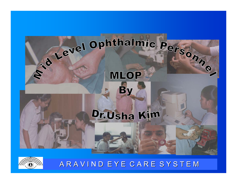

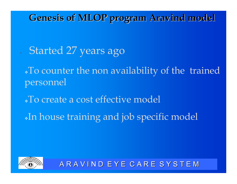**Genesis of MLOP program Aravind model Genesis of MLOP program Aravind model**

Started 27 years ago

To counter the non availability of the trained personnel

- To create a cost effective model
- In house training and job specific model

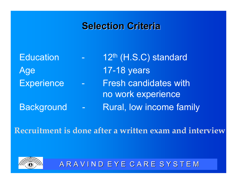### **Selection Criteria Selection Criteria**

**Education** 1 2th (H.S.C) standard Age 17-18 years **Experience** Fresh candidates with no work experience **Background** Rural, low income family

**Recruitment is done after a written exam and interview**

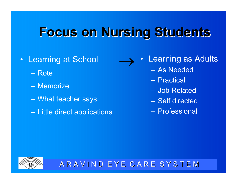### **Focus on Nursing Students Focus on Nursing Students**

- • Learning at School
	- Rote
	- Memorize
	- What teacher says
	- Little direct applications
- $\bullet$  Learning as Adults  $\rightarrow$ 
	- –As Needed
	- Practical
	- –Job Related
	- Self directed
	- –Professional

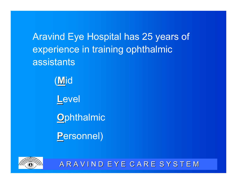Aravind Eye Hospital has 25 years of experience in training ophthalmic assistants

> ( **M**id **L**evel **O**phthalmic

**P**ersonnel)

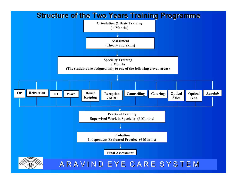#### **Structure of the Two Years Training Programme Structure of the Two Years Training Programme**

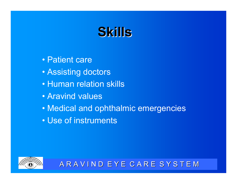### **Skills**

- •Patient care
- Assisting doctors
- •Human relation skills
- •Aravind values
- Medical and ophthalmic emergencies
- •Use of instruments

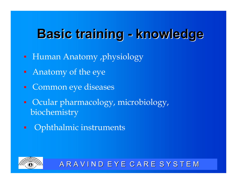#### **Basic training Basic training knowledge knowledge**

- Human Anatomy ,physiology
- Anatomy of the eye
- **Common eye diseases**
- Ocular pharmacology, microbiology, biochemistry
- Ophthalmic instruments $\blacksquare$

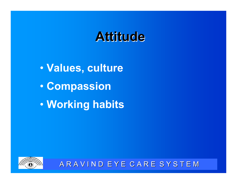### **Attitude Attitude**

 $\bullet$  **Values, culture**  $\bullet$  **Compassion**  $\bullet$ **Working habits**

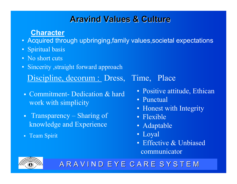### **Aravind Values & Culture**

#### **Character**

- Acquired through upbringing,family values,societal expectations
- Spiritual basis
- No short cuts
- Sincerity ,straight forward approach Discipline, decorum : Dress, Time, Place
- Commitment- Dedication & hard work with simplicity
- Transparency Sharing of knowledge and Experience
- Team Spirit

- Positive attitude, Ethican
- Punctual
- Honest with Integrity
- Flexible
- Adaptable
- Loyal
- Effective & Unbiased communicator

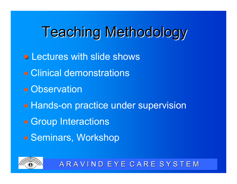# **Teaching Methodology**

- **Lectures with slide shows**
- Clinical demonstrations
- Observation
- Hands-on practice under supervision
- Group Interactions
- Seminars, Workshop

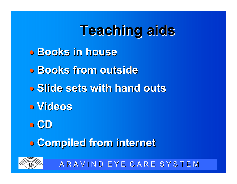# **Teaching aids Teaching aids**

- **Books in house Books in house**
- **Books from outside Books from outside**
- **Slide sets with hand outs**
- **Videos**
- **CD**

 $\bigcirc$ **Compiled from internet Compiled from internet**

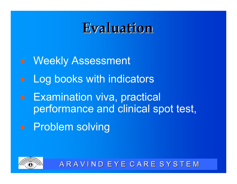### **Evaluation Evaluation**

- Weekly Assessment
- Log books with indicators
- Examination viva, practical performance and clinical spot test,
- **•** Problem solving

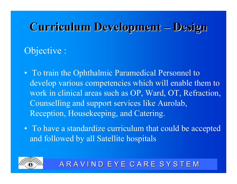#### **Curriculum Development Design**

### Objective :

- To train the Ophthalmic Paramedical Personnel to develop various competencies which will enable them to work in clinical areas such as OP, Ward, OT, Refraction, Counselling and support services like Aurolab, Reception, Housekeeping, and Catering.
- To have a standardize curriculum that could be accepted and followed by all Satellite hospitals

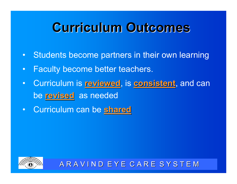### **Curriculum Outcomes**

- Students become partners in their own learning
- $\bullet$ Faculty become better teachers.
- Curriculum is **reviewed**, is **consistent**, and can be **revised revised** as needed
- Curriculum can be **shared**

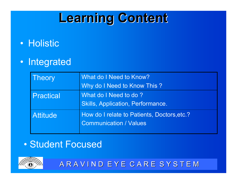### **Learning Content Learning Content**

- Holistic
- Integrated

| <b>Theory</b>    | What do I Need to Know?                                                      |  |
|------------------|------------------------------------------------------------------------------|--|
|                  | Why do I Need to Know This?                                                  |  |
| <b>Practical</b> | What do I Need to do?                                                        |  |
|                  | <b>Skills, Application, Performance.</b>                                     |  |
| <b>Attitude</b>  | How do I relate to Patients, Doctors, etc.?<br><b>Communication / Values</b> |  |

#### $\bullet$ Student Focused

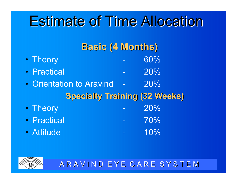## **Estimate of Time Allocation**

|                          | <b>Basic (4 Months)</b> |                                      |  |
|--------------------------|-------------------------|--------------------------------------|--|
| • Theory                 |                         | 60%                                  |  |
| • Practical              |                         | 20%                                  |  |
| • Orientation to Aravind |                         | 20%                                  |  |
|                          |                         | <b>Specialty Training (32 Weeks)</b> |  |
| • Theory                 |                         | 20%                                  |  |
| • Practical              |                         | 70%                                  |  |
| · Attitude               |                         | 10%                                  |  |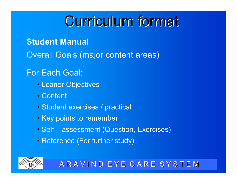### **Curriculum format**

**Student Manual**

Overall Goals (major content areas)

#### For Each Goal:

- Leaner Objectives
- Content
- Student exercises / practical
- Key points to remember
- Self assessment (Question, Exercises)
- Reference (For further study)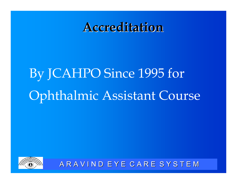### **Accreditation Accreditation**

# By JCAHPO Since 1995 for Ophthalmic Assistant Course

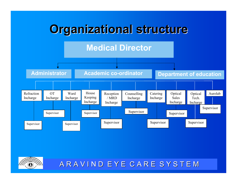

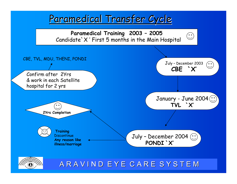### Paramedical Transfer Cycle



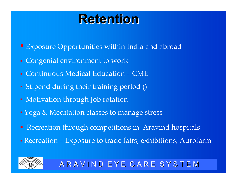### **Retention Retention**

- Exposure Opportunities within India and abroad
- Congenial environment to work
- Continuous Medical Education CME
- Stipend during their training period ()
- Motivation through Job rotation
- Koga & Meditation classes to manage stress
- **Recreation through competitions in Aravind hospitals**
- Recreation Exposure to trade fairs, exhibitions, Aurofarm

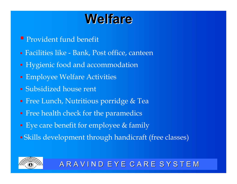### **Welfare Welfare**

- Provident fund benefit
- Facilities like Bank, Post office, canteen
- **Hygienic food and accommodation**
- Employee Welfare Activities
- Subsidized house rent
- **Free Lunch, Nutritious porridge & Tea**
- **Fidum** Free health check for the paramedics
- **Eye care benefit for employee & family**
- Skills development through handicraft (free classes)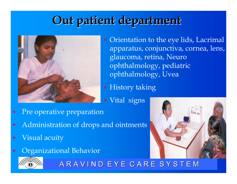### **Out patient department Out patient department**



- Orientation to the eye lids, Lacrimal apparatus, conjunctiva, cornea, lens, glaucoma, retina, Neuro ophthalmology, pediatric ophthalmology, Uvea
- **History taking**
- **· Vital signs**
- Pre operative preparation  $\blacksquare$
- Administration of drops and ointments  $\blacksquare$
- Visual acuity  $\blacksquare$
- Organizational Behavior  $\blacksquare$



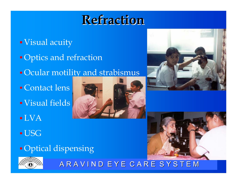### **Refraction Refraction**

- Visual acuity Optics and refraction
- Ocular motility and strabismus
- Contact lens Visual fields
- LVA
- USG
- **Optical dispensing**







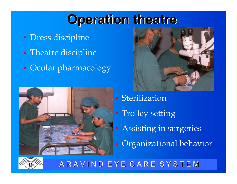### **Operation theatre Operation theatre**

- Dress discipline
- Theatre discipline
- **C**ocular pharmacology





- Sterilization
- **Trolley setting**
- **Assisting in surgeries**
- Organizational behavior

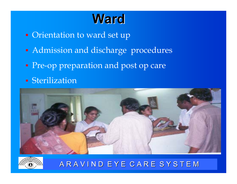### **Ward**

- **Orientation to ward set up**
- **Admission and discharge procedures**
- **Pre-op preparation and post op care**
- **Sterilization**